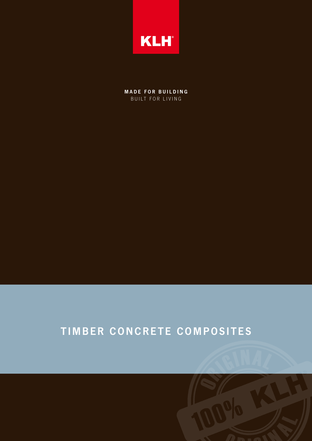

**MADE FOR BUILDING** BUILT FOR LIVING

# TIMBER CONCRETE COMPOSITES

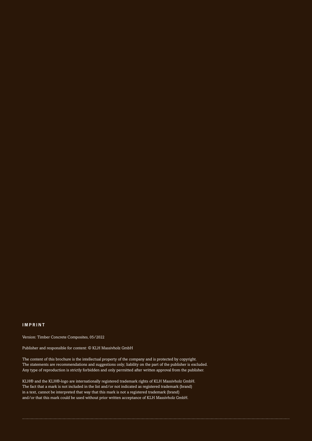#### **IMPRINT**

Version: Timber Concrete Composites, 05/2022

Publisher and responsible for content: © KLH Massivholz GmbH

The content of this brochure is the intellectual property of the company and is protected by copyright. The statements are recommendations and suggestions only; liability on the part of the publisher is excluded. Any type of reproduction is strictly forbidden and only permitted after written approval from the publisher.

KLH® and the KLH®-logo are internationally registered trademark rights of KLH Massivholz GmbH. The fact that a mark is not included in the list and/or not indicated as registered trademark (brand) in a text, cannot be interpreted that way that this mark is not a registered trademark (brand) and/or that this mark could be used without prior written acceptance of KLH Massivholz GmbH.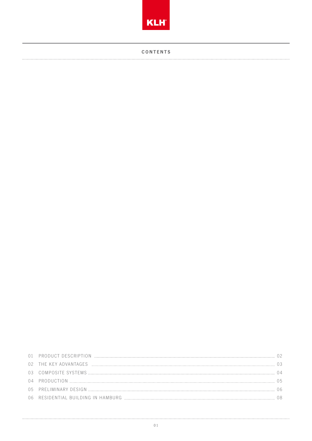

**CONTENTS** 

| 01 PRODUCT DESCRIPTION             |  |
|------------------------------------|--|
|                                    |  |
|                                    |  |
| 04 PRODUCTION                      |  |
|                                    |  |
| 06 RESIDENTIAL BUILDING IN HAMBURG |  |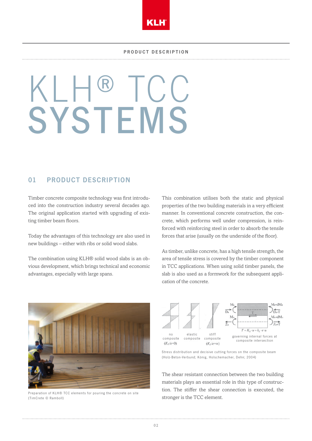

# KLH® TCC **SYSTEMS**

## 01 PRODUCT DESCRIPTION

Timber concrete composite technology was first introduced into the construction industry several decades ago. The original application started with upgrading of existing timber beam floors.

Today the advantages of this technology are also used in new buildings – either with ribs or solid wood slabs.

The combination using KLH® solid wood slabs is an obvious development, which brings technical and economic advantages, especially with large spans.

This combination utilises both the static and physical properties of the two building materials in a very efficient manner. In conventional concrete construction, the concrete, which performs well under compression, is reinforced with reinforcing steel in order to absorb the tensile forces that arise (usually on the underside of the floor).

As timber, unlike concrete, has a high tensile strength, the area of tensile stress is covered by the timber component in TCC applications. When using solid timber panels, the slab is also used as a formwork for the subsequent application of the concrete.



Preparation of KLH® TCC elements for pouring the concrete on site (TimCrete © Ramboll)



Stress distribution and decisive cutting forces on the composite beam (Holz-Beton-Verbund; König, Holschemacher, Dehn; 2004)

The shear resistant connection between the two building materials plays an essential role in this type of construction. The stiffer the shear connection is executed, the stronger is the TCC element.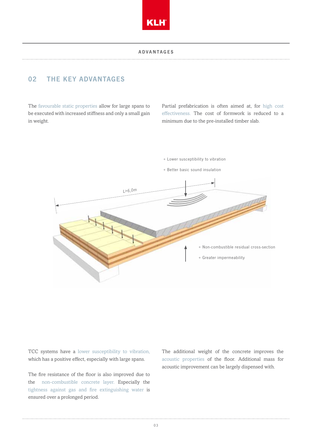

#### **ADVANTAGES**

# 02 THE KEY ADVANTAGES

The favourable static properties allow for large spans to be executed with increased stiffness and only a small gain in weight.

Partial prefabrication is often aimed at, for high cost effectiveness. The cost of formwork is reduced to a minimum due to the pre-installed timber slab.



TCC systems have a lower susceptibility to vibration, which has a positive effect, especially with large spans.

The fire resistance of the floor is also improved due to the non-combustible concrete layer. Especially the tightness against gas and fire extinguishing water is ensured over a prolonged period.

The additional weight of the concrete improves the acoustic properties of the floor. Additional mass for acoustic improvement can be largely dispensed with.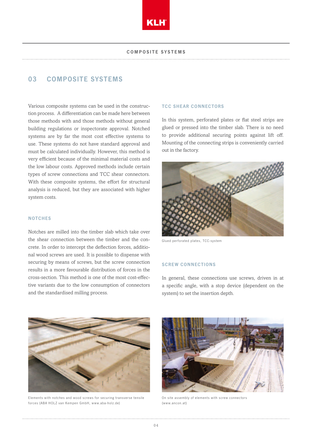

## 03 COMPOSITE SYSTEMS

Various composite systems can be used in the construction process. A differentiation can be made here between those methods with and those methods without general building regulations or inspectorate approval. Notched systems are by far the most cost effective systems to use. These systems do not have standard approval and must be calculated individually. However, this method is very efficient because of the minimal material costs and the low labour costs. Approved methods include certain types of screw connections and TCC shear connectors. With these composite systems, the effort for structural analysis is reduced, but they are associated with higher system costs.

#### **NOTCHES**

Notches are milled into the timber slab which take over the shear connection between the timber and the concrete. In order to intercept the deflection forces, additional wood screws are used. It is possible to dispense with securing by means of screws, but the screw connection results in a more favourable distribution of forces in the cross-section. This method is one of the most cost-effective variants due to the low consumption of connectors and the standardised milling process.

#### TCC SHEAR CONNECTORS

In this system, perforated plates or flat steel strips are glued or pressed into the timber slab. There is no need to provide additional securing points against lift off. Mounting of the connecting strips is conveniently carried out in the factory.



Glued perforated plates, TCC-system

#### SCREW CONNECTIONS

In general, these connections use screws, driven in at a specific angle, with a stop device (dependent on the system) to set the insertion depth.



Elements with notches and wood screws for securing transverse tensile forces (ABA HOLZ van Kempen GmbH, www.aba-holz.de)



On site assembly of elements with screw connectors (www.ancon.at)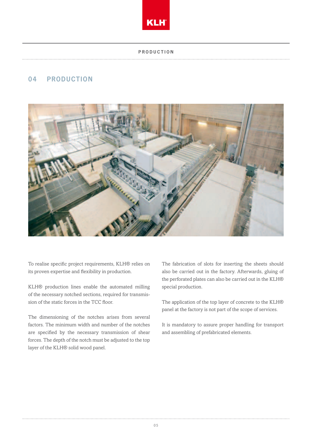

#### **PRODUCTION**

# 04 PRODUCTION



To realise specific project requirements, KLH® relies on its proven expertise and flexibility in production.

KLH® production lines enable the automated milling of the necessary notched sections, required for transmission of the static forces in the TCC floor.

The dimensioning of the notches arises from several factors. The minimum width and number of the notches are specified by the necessary transmission of shear forces. The depth of the notch must be adjusted to the top layer of the KLH® solid wood panel.

The fabrication of slots for inserting the sheets should also be carried out in the factory. Afterwards, gluing of the perforated plates can also be carried out in the KLH® special production.

The application of the top layer of concrete to the KLH® panel at the factory is not part of the scope of services.

It is mandatory to assure proper handling for transport and assembling of prefabricated elements.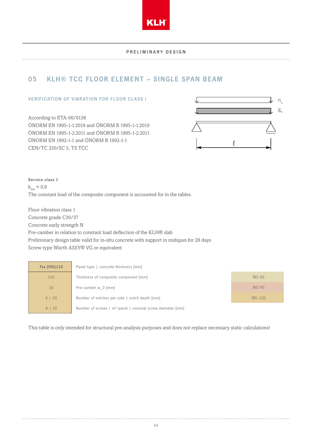

#### PRELIMINARY DESIGN

# 05 KLH® TCC FLOOR ELEMENT – SINGLE SPAN BEAM

#### VERIFICATION OF VIBRATION FOR FLOOR CLASS I

According to ETA-06/0138 ÖNORM EN 1995-1-1:2019 and ÖNORM B 1995-1-1:2019 ÖNORM EN 1995-1-2:2011 and ÖNORM B 1995-1-2:2011 ÖNORM EN 1992-1-1 and ÖNORM B 1992-1-1 CEN/TC 250/SC 5, TS TCC



Service class 1  $k_{\text{def}} = 0.6$ The constant load of the composite component is accounted for in the tables.

Floor vibration class 1 Concrete grade C30/37 Concrete early strength N Pre-camber in relation to constant load deflection of the KLH® slab Preliminary design table valid for in-situ concrete with support in midspan for 28 days Screw type Würth ASSY® VG or equivalent

| 7ss 2001110 | Panel type   concrete thickness [mm]                                  |                |
|-------------|-----------------------------------------------------------------------|----------------|
| 310         | Thickness of composite component [mm]                                 | <b>REI 60</b>  |
| 10          | Pre-camber w_0 [mm]                                                   | <b>REI 90</b>  |
| 4   20      | Number of notches per side   notch depth [mm]                         | <b>REI 120</b> |
| 4   10      | Number of screws / m <sup>2</sup> panel   nominal screw diameter [mm] |                |

This table is only intended for structural pre-analysis purposes and does not replace necessary static calculations!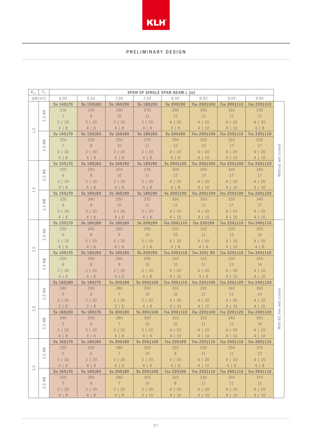

#### PRELIMINARY DESIGN

| $g_{2,k}$                | $n_{k}$                                                                                                        | <b>SPAN OF SINGLE SPAN BEAM L [m]</b> |                 |                |            |             |                  |             |             |                    |
|--------------------------|----------------------------------------------------------------------------------------------------------------|---------------------------------------|-----------------|----------------|------------|-------------|------------------|-------------|-------------|--------------------|
|                          | $[kN/m^2]$                                                                                                     | 6,00                                  | 6,50            | 7,00           | 7,50       | 8,00        | 8,50             | 9,00        | 9,50        |                    |
|                          |                                                                                                                | 5s 140 70                             | 5s 150   80     | 5s 160 90      | 5s 180 90  | 5s 200 90   | 7ss 200 100      | 7ss 200 110 | 7ss 220 110 |                    |
|                          | $\stackrel{\triangle}{\geq}$                                                                                   | 210                                   | 230             | 250            | 270        | 290         | 300              | 310         | 330         |                    |
|                          | $\overline{5}$                                                                                                 | $7\overline{ }$                       | $\,8\,$         | 10             | 11         | $12\,$      | 13               | 17          | 17          |                    |
|                          | $\sim$                                                                                                         | 3   20                                | 3   20          | 3   20         | 3   20     | 4   20      | 4   20           | 4   20      | 4   20      |                    |
| $1,0$                    |                                                                                                                | 3 8                                   | 4   8           | 4   8          | 4   8      | 3   8       | 4   10           | 4   10      | 4   8       |                    |
|                          |                                                                                                                | 5s 140 70                             | 5s 150   80     | 5s 160 90      | 5s 180 90  | 5s 200 90   | 7ss 200 100      | 7ss 200 110 | 7ss 220 110 |                    |
|                          | $\overset{\text{\tiny{D}}}{\geq}$                                                                              | 210                                   | 230             | 250            | 270        | 290         | 300              | 310         | 330         |                    |
|                          | $\overline{5}$<br>$\infty$                                                                                     | $\overline{7}$                        | $\,8\,$         | 10             | 11         | 12          | 13               | 17          | 17          |                    |
|                          |                                                                                                                | 3   20                                | 3   20          | 3   20         | 3   20     | 4   20      | 4   20           | 4   20      | 4   20      |                    |
|                          |                                                                                                                | 4   8                                 | 4   8           | 4   8          | 4   8      | 4   8       | 4   10           | 4   10      | 4   10      |                    |
|                          |                                                                                                                | 5s 150   70                           | 5s 160   80     | 5s 160190      | 5s 180 90  | 5s 200 100  | 7ss 2001100      | 7ss 220 100 | 7ss 220 120 | Without wet screed |
|                          | $\stackrel{\triangle}{\geq}$                                                                                   | 220                                   | 240             | 250            | 270        | 300         | 300              | 320         | 340         |                    |
|                          | $\overline{5}$                                                                                                 | $6\phantom{.}6$                       | $\,8\,$         | 10             | 11         | 12          | 13               | 17          | 17          |                    |
|                          | $\sim$                                                                                                         | 3   20                                | 3   20          | 3   20         | 3   20     | 4   20      | 4   20           | 4   20      | 4   20      |                    |
| $\overline{5}$           |                                                                                                                | 4   8                                 | 4   8           | 4   8          | 4   8      | 4   8       | 4   10           | 4   10      | 4   10      |                    |
| $\overline{\phantom{0}}$ |                                                                                                                | 5s 150   70                           | 5s 160   80     | 5s 160 90      | 5s 180 90  | 5s 200 100  | 7ss 200 100      | 7ss 220 100 | 7ss 220 120 |                    |
|                          | $\infty$                                                                                                       | 220                                   | 240             | 250            | 270        | 300         | 300              | 320         | 340         |                    |
|                          | $\geq$<br>$\overline{5}$                                                                                       | $6\phantom{.}6$                       | $\,8\,$         | 10             | 11         | 12          | 13               | 17          | 17          |                    |
|                          | $\infty$                                                                                                       | 3   20                                | 3   20          | 3   20         | 3   20     | 4   20      | 4   20           | 4   20      | 4   20      |                    |
|                          |                                                                                                                | 4   8                                 | 4   8           | 4   8          | 4   8      | 4   10      | 4   10           | 4   10      | 4   10      |                    |
|                          | $\lessgtr$<br>$\overline{5}$<br>$\sim$<br>$\stackrel{\textstyle\ominus}{\cong}$<br>$\overline{5}$<br>$\infty$  | 5s 150   70                           | 5s 160   80     | 5s 180 80      | 5s 200 90  | 7ss 200 110 | 7ss 220 90       | 7ss 220 110 | 7ss 240 110 |                    |
|                          |                                                                                                                | 220                                   | 240             | 260            | 290        | 310         | 310              | 330         | 350         |                    |
|                          |                                                                                                                | $6\phantom{.}6$                       | $\,8\,$         | 9              | 10         | 10          | 11               | 13          | 14          |                    |
|                          |                                                                                                                | 3   20                                | 3   20          | 3   20         | 3   20     | 4   20      | 4   20           | 4   20      | 4   20      |                    |
|                          |                                                                                                                | 4   8                                 | 4   8           | 4   8          | 3   8      | 4   8       | 4   8            | 4   10      | 4   8       |                    |
| 2,0                      |                                                                                                                | 5s 150   70                           | 5s 160   80     | 5s 180 80      | 5s 200 90  | 7ss 200 110 | 7ss 220  90      | 7ss 220 110 | 7ss 240 110 |                    |
|                          |                                                                                                                | 220                                   | 240             | 260            | 290        | 310         | 310              | 330         | 350         |                    |
|                          |                                                                                                                | 6                                     | $\,8\,$         | $\overline{9}$ | 10         | 10          | 11               | 13          | 14          |                    |
|                          |                                                                                                                | 3   20                                | 3   20          | 3   20         | 3   20     | 4   20      | 4   20           | 4   20      | 4   20      |                    |
|                          |                                                                                                                | 4   8                                 | 4   8           | 4   8          | 4   8      | 4   10      | 4   8            | 4   10      | 4   10      |                    |
|                          |                                                                                                                | 5s 160   80                           | 5s 180 70       | 5s 200 80      | 5s 200 100 | 7ss 200 110 | 7ss 220 100      | 7ss 220 120 | 7ss 240 120 |                    |
|                          | $\stackrel{\triangle}{\geq}$                                                                                   | 240                                   | 250             | 280            | 300        | 310         | 320              | 340         | 360         |                    |
|                          | $\overline{\mathbb{C}}$<br>$\sim$<br>$\overset{\text{\tiny{D}}}{\geq}$<br>$\overline{\mathcal{C}}$<br>$\infty$ | 5                                     | $6\phantom{.}6$ | $\overline{7}$ | 10         | 10          | 11               | 13          | 14          |                    |
|                          |                                                                                                                | 3   20                                | 3   20          | 3   20         | 3   20     | 4   20      | 4   20           | 4   20      | 4   20      |                    |
| $\overline{5}$           |                                                                                                                | 3 8                                   | $3 \mid 8$      | 3 8            | 4   8      | 4   10      | 4   10           | 4   10      | 4   10      |                    |
| $\sim$                   |                                                                                                                | 5s 160 80                             | 5s 180 70       | 5s 200 80      | 5s 200 100 | 7ss 200 110 | 7ss 220 100      | 7ss 2201120 | 7ss 240 120 | mm wet screed      |
|                          |                                                                                                                | 240                                   | 250             | 280            | 300        | 310         | 320              | 340         | 360         | $\rm ^{\circ}$     |
|                          |                                                                                                                | 5 <sup>1</sup>                        | $6\overline{6}$ | 7 <sup>7</sup> | 10         | $10\,$      | $11\,$           | 13          | 14          | With               |
|                          |                                                                                                                | 3   20                                | 3   20          | 3   20         | 3   20     | 4   20      | 4   20           | 4   20      | 4   20      |                    |
|                          |                                                                                                                | 4   8                                 | 3   8           | 4   8          | 4   8      | 4   10      | 4   10           | 4   10      | 4   10      |                    |
|                          |                                                                                                                | 5s 160   70                           | 5s 180 80       | 5s 200 80      | 5s 200 100 | 7ss 220 90  | 7ss 220 110      | 7ss 240 110 | 7ss 260 110 |                    |
|                          | $\stackrel{\triangle}{\geq}$                                                                                   | 230                                   | 260             | 280            | 300        | 310         | 330              | 350         | 370         |                    |
|                          | $\overline{\mathcal{L}}$<br>$\sim$                                                                             | 5 <sup>1</sup>                        | $6\overline{6}$ | $7^{\circ}$    | 10         | 8           | 11               | $-11$       | 12          |                    |
|                          |                                                                                                                | 3   20                                | 3   20          | 3   20         | 3   20     | 4   20      | 4   20           | 4   20      | 4   20      |                    |
|                          |                                                                                                                | 3   8                                 | 4   8           | 4   8          | 4   8      | 4   8       | 4   10           | 4   8       | 4   8       |                    |
| 3,0                      |                                                                                                                | 5s 160 70                             | 5s 180 80       | 5s 200 80      | 5s 200 100 | 7ss 220 90  | 7ss 220 110      | 7ss 240 110 | 7ss 260 110 |                    |
|                          | $\bf \infty$                                                                                                   | 230                                   | 260             | 280            | 300        | 310         | 330              | 350         | 370         |                    |
|                          | z<br>$\overline{\mathbb{C}}$                                                                                   | 5 <sup>1</sup>                        | 6               | 7 <sup>7</sup> | 10         | 8           | $\mid$ 11 $\mid$ | $-11$       | 12          |                    |
|                          | $\infty$                                                                                                       | 3   20                                | 3   20          | 3   20         | 3   20     | 4   20      | 4   20           | 4   20      | 4   20      |                    |
|                          |                                                                                                                | 4   8                                 | 4   8           | 4   8          | 3   10     | 4   10      | 4   10           | 4   10      | 4   10      |                    |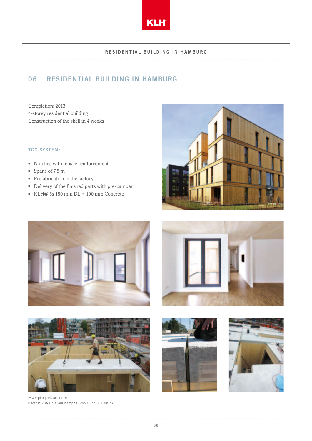

#### RESIDENTIAL BUILDING IN HAMBURG

# 06 RESIDENTIAL BUILDING IN HAMBURG

Completion: 2013 4-storey residential building Construction of the shell in 4 weeks

#### TCC SYSTEM:

- Notches with tensile reinforcement
- Spans of 7.5 m
- Prefabrication in the factory
- Delivery of the finished parts with pre-camber
- KLH® 5s 180 mm DL + 100 mm Concrete









(www.planpark-architekten.de, Photos: ABA Holz van Kempen GmbH und C. Lohfink)